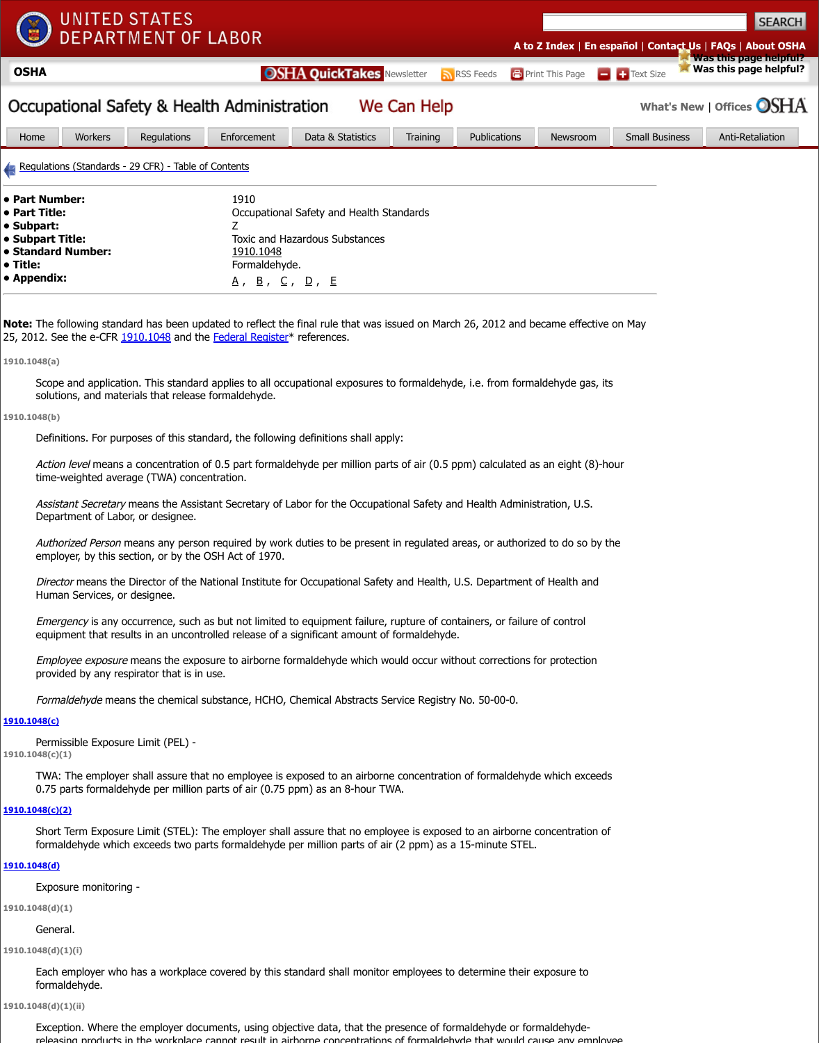solutions, and materials that release formaldehyde.

#### **1910.1048(b)**

[Definitions. For purposes of this standard, the follow](http://www.dol.gov/)ing definitions shall apply:

[Ac](https://www.osha.gov/index.html)tion level means a concentration of 0.5 part f[ormaldehyde per million parts of air](https://www.osha.gov/as/opa/quicktakes/index.html) ([0.5 ppm\) calc](https://www.osha.gov/rss/index.html)ulated as time-weighted average (TWA) concentration.

Assistant Secretary means the Assistant Secretary of Labor for the Occupational Safety and Health Department of Labor, or designee.

Authorized Person means any person required by work duties to be present in regulated areas, or a [employer, by this section, or by the OSH Act o](https://www.osha.gov/pls/oshaweb/owasrch.search_form?p_doc_type=STANDARDS&p_toc_level=0&p_keyvalue=)f 1970.

Director means the Director of the National Institute for Occupational Safety and Health, U.S. Depa Human Services, or designee.

Emergency is any occurrence, such as but not limited to equipment failure, rupture of containers, or equipment that results in an uncontrolled release of a significant amount of formaldehyde.

Employee exposure means the exposure to airborne formaldehyde which would occur without corre provided by any respirator that is in use.

Formaldehyde means the chemical substance, HCHO, Chemical Abstracts Service Registry No. 50-0.

#### **1910.1048(c)**

Permissible Expos[ure Limit \(P](http://ecfr.gpoaccess.gov/cgi/t/text/text-idx?c=ecfr&sid=a2957f4bc33030914c70c953dfa0ca4a&rgn=div8&view=text&node=29:6.1.1.1.1.1.1.31&idno=29)EL) - **1910.1048(c)(1)**

> TWA: The employer shall assure that no employee is exposed to an airborne concentration of form 0.75 parts formaldehyde per million parts of air (0.75 ppm) as an 8-hour TWA.

#### **1910.1048(c)(2)**

Short Term Exposure Limit (STEL): The employer shall assure that no employee is exposed to an air formaldehyde which exceeds two parts formaldehyde per million parts of air (2 ppm) as a 15-minute

### **1910.1048(d)**

Exposure monitoring -

**1910.1048(d)(1)**

General.

**1910.1048(d)(1)(i)**

Each employer who has a workplace covered by this standard shall monitor employees to determine formaldehyde.

#### **1910.1048(d)(1)(ii)**

Exception. Where the employer documents, using objective data, that the presence of formaldehyd releasing products in the workplace cannot result in airborne concentrations of formaldehyde that w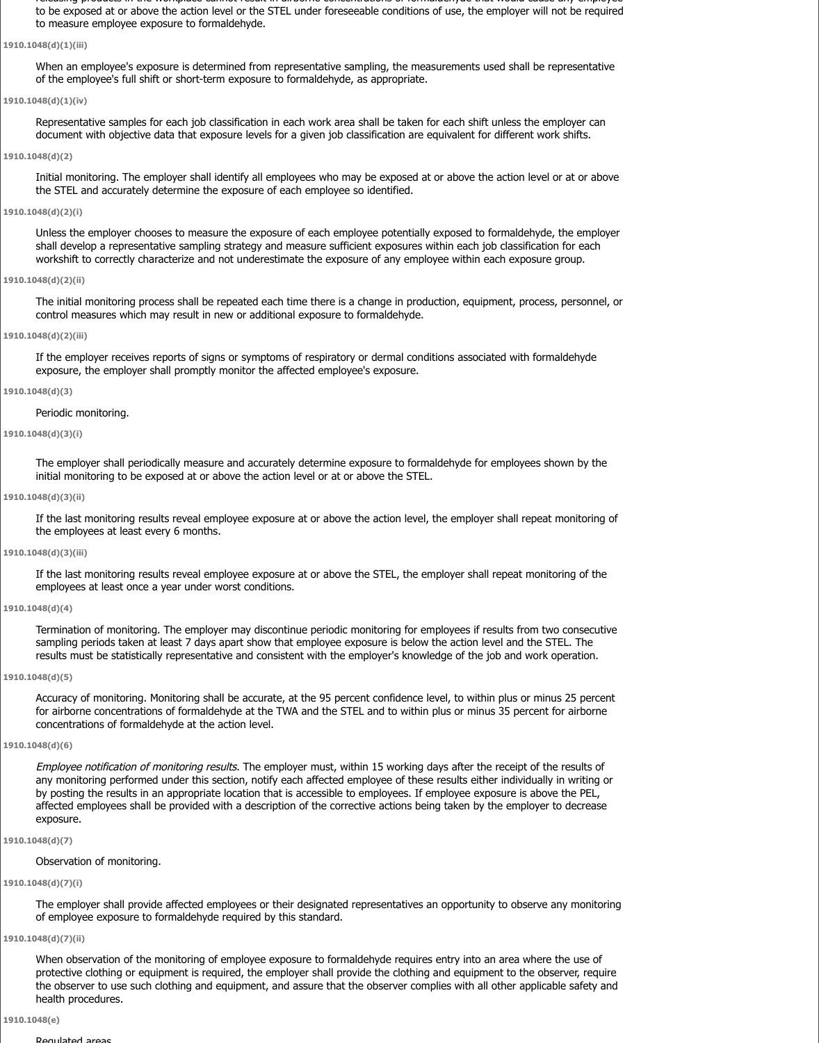releasing products in the workplace cannot result in airborne concentrations of formaldehyde that would cause any employee to be exposed at or above the action level or the STEL under foreseeable conditions of use, the employer will not be required to measure employee exposure to formaldehyde.

#### **1910.1048(d)(1)(iii)**

When an employee's exposure is determined from representative sampling, the measurements used shall be representative of the employee's full shift or short-term exposure to formaldehyde, as appropriate.

### **1910.1048(d)(1)(iv)**

Representative samples for each job classification in each work area shall be taken for each shift unless the employer can document with objective data that exposure levels for a given job classification are equivalent for different work shifts.

### **1910.1048(d)(2)**

Initial monitoring. The employer shall identify all employees who may be exposed at or above the action level or at or above the STEL and accurately determine the exposure of each employee so identified.

### **1910.1048(d)(2)(i)**

Unless the employer chooses to measure the exposure of each employee potentially exposed to formaldehyde, the employer shall develop a representative sampling strategy and measure sufficient exposures within each job classification for each workshift to correctly characterize and not underestimate the exposure of any employee within each exposure group.

### **1910.1048(d)(2)(ii)**

The initial monitoring process shall be repeated each time there is a change in production, equipment, process, personnel, or control measures which may result in new or additional exposure to formaldehyde.

### **1910.1048(d)(2)(iii)**

If the employer receives reports of signs or symptoms of respiratory or dermal conditions associated with formaldehyde exposure, the employer shall promptly monitor the affected employee's exposure.

### **1910.1048(d)(3)**

Periodic monitoring.

### **1910.1048(d)(3)(i)**

The employer shall periodically measure and accurately determine exposure to formaldehyde for employees shown by the initial monitoring to be exposed at or above the action level or at or above the STEL.

### **1910.1048(d)(3)(ii)**

If the last monitoring results reveal employee exposure at or above the action level, the employer shall repeat monitoring of the employees at least every 6 months.

### **1910.1048(d)(3)(iii)**

If the last monitoring results reveal employee exposure at or above the STEL, the employer shall repeat monitoring of the employees at least once a year under worst conditions.

### **1910.1048(d)(4)**

Termination of monitoring. The employer may discontinue periodic monitoring for employees if results from two consecutive sampling periods taken at least 7 days apart show that employee exposure is below the action level and the STEL. The results must be statistically representative and consistent with the employer's knowledge of the job and work operation.

### **1910.1048(d)(5)**

Accuracy of monitoring. Monitoring shall be accurate, at the 95 percent confidence level, to within plus or minus 25 percent for airborne concentrations of formaldehyde at the TWA and the STEL and to within plus or minus 35 percent for airborne concentrations of formaldehyde at the action level.

#### **1910.1048(d)(6)**

Employee notification of monitoring results. The employer must, within 15 working days after the receipt of the results of any monitoring performed under this section, notify each affected employee of these results either individually in writing or by posting the results in an appropriate location that is accessible to employees. If employee exposure is above the PEL, affected employees shall be provided with a description of the corrective actions being taken by the employer to decrease exposure.

**1910.1048(d)(7)**

Observation of monitoring.

**1910.1048(d)(7)(i)**

The employer shall provide affected employees or their designated representatives an opportunity to observe any monitoring of employee exposure to formaldehyde required by this standard.

#### **1910.1048(d)(7)(ii)**

When observation of the monitoring of employee exposure to formaldehyde requires entry into an area where the use of protective clothing or equipment is required, the employer shall provide the clothing and equipment to the observer, require the observer to use such clothing and equipment, and assure that the observer complies with all other applicable safety and health procedures.

**1910.1048(e)**

Regulated areas.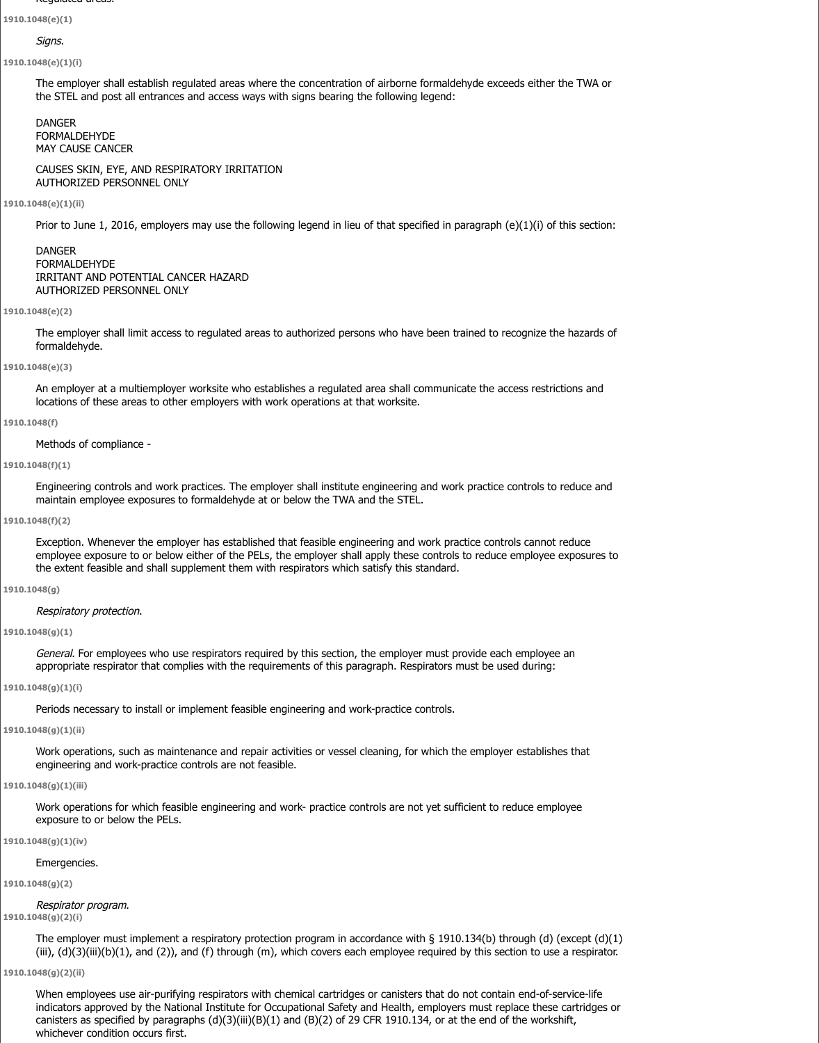Regulated areas.

#### **1910.1048(e)(1)**

### Signs.

### **1910.1048(e)(1)(i)**

The employer shall establish regulated areas where the concentration of airborne formaldehyde exceeds either the TWA or the STEL and post all entrances and access ways with signs bearing the following legend:

### DANGER

FORMALDEHYDE MAY CAUSE CANCER

CAUSES SKIN, EYE, AND RESPIRATORY IRRITATION AUTHORIZED PERSONNEL ONLY

### **1910.1048(e)(1)(ii)**

Prior to June 1, 2016, employers may use the following legend in lieu of that specified in paragraph (e)(1)(i) of this section:

DANGER FORMALDEHYDE IRRITANT AND POTENTIAL CANCER HAZARD AUTHORIZED PERSONNEL ONLY

### **1910.1048(e)(2)**

The employer shall limit access to regulated areas to authorized persons who have been trained to recognize the hazards of formaldehyde.

### **1910.1048(e)(3)**

An employer at a multiemployer worksite who establishes a regulated area shall communicate the access restrictions and locations of these areas to other employers with work operations at that worksite.

General. For employees who use respirators required by this section, the employer must provide each employee an appropriate respirator that complies with the requirements of this paragraph. Respirators must be used during:

### **1910.1048(f)**

Methods of compliance -

### **1910.1048(f)(1)**

Engineering controls and work practices. The employer shall institute engineering and work practice controls to reduce and maintain employee exposures to formaldehyde at or below the TWA and the STEL.

The employer must implement a respiratory protection program in accordance with § 1910.134(b) through (d) (except (d)(1) (iii),  $(d)(3)(iii)(b)(1)$ , and  $(2)$ ), and  $(f)$  through  $(m)$ , which covers each employee required by this section to use a respirator.

### **1910.1048(f)(2)**

Exception. Whenever the employer has established that feasible engineering and work practice controls cannot reduce employee exposure to or below either of the PELs, the employer shall apply these controls to reduce employee exposures to the extent feasible and shall supplement them with respirators which satisfy this standard.

### **1910.1048(g)**

### Respiratory protection.

### **1910.1048(g)(1)**

### **1910.1048(g)(1)(i)**

Periods necessary to install or implement feasible engineering and work-practice controls.

#### **1910.1048(g)(1)(ii)**

Work operations, such as maintenance and repair activities or vessel cleaning, for which the employer establishes that engineering and work-practice controls are not feasible.

**1910.1048(g)(1)(iii)**

Work operations for which feasible engineering and work- practice controls are not yet sufficient to reduce employee exposure to or below the PELs.

**1910.1048(g)(1)(iv)**

Emergencies.

**1910.1048(g)(2)**

Respirator program. **1910.1048(g)(2)(i)**

**1910.1048(g)(2)(ii)**

When employees use air-purifying respirators with chemical cartridges or canisters that do not contain end-of-service-life indicators approved by the National Institute for Occupational Safety and Health, employers must replace these cartridges or canisters as specified by paragraphs (d)(3)(iii)(B)(1) and (B)(2) of 29 CFR 1910.134, or at the end of the workshift, whichever condition occurs first.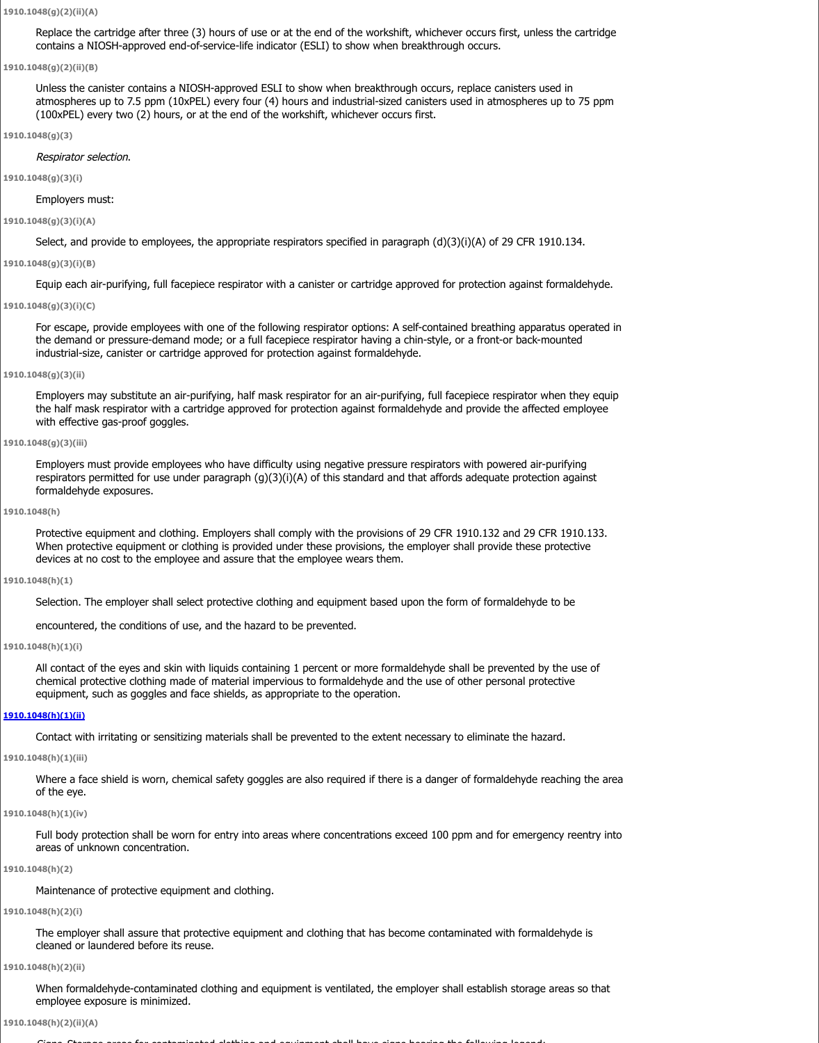Employers may substitute an air-purifying, half mask respirator for an air-purifying, full facepiece respirator when they equip the half mask respirator with a cartridge approved for protection against formaldehyde and provide with effective gas-proof goggles.

**1910.1048(g)(3)(iii)**

Employers must provide employees who have difficulty using negative pressure respirators with power respirators permitted for use under paragraph  $(g)(3)(i)(A)$  of this standard and that affords adequa formaldehyde exposures.

#### **1910.1048(h)**

Protective equipment and clothing. Employers shall comply with the provisions of 29 CFR 1910.132 When protective equipment or clothing is provided under these provisions, the employer shall provided devices at no cost to the employee and assure that the employee wears them.

**1910.1048(h)(1)**

Selection. The employer shall select protective clothing and equipment based upon the form of forr

encountered, the conditions of use, and the hazard to be prevented.

**1910.1048(h)(1)(i)**

All contact of the eyes and skin with liquids containing 1 percent or more formaldehyde shall be pre chemical protective clothing made of material impervious to formaldehyde and the use of other per equipment, such as goggles and face shields, as appropriate to the operation.

#### **1910.1048(h)(1)(ii)**

Contact with irritating or sensitizing materials shall be prevented to the extent necessary to elimina

**1910.1048(h)(1)(iii)**

Where a face shield is worn, chemical safety goggles are also required if there is a danger of forma of the eye.

#### **1910.1048(h)(1)(iv)**

Full body protection shall be worn for entry into areas where concentrations exceed 100 ppm and f areas of unknown concentration.

**1910.1048(h)(2)**

Maintenance of protective equipment and clothing.

**1910.1048(h)(2)(i)**

The employer shall assure that protective equipment and clothing that has become contaminated v cleaned or laundered before its reuse.

**1910.1048(h)(2)(ii)**

When formaldehyde-contaminated clothing and equipment is ventilated, the employer shall establish storage areas so that employee exposure is minimized.

**1910.1048(h)(2)(ii)(A)**

Signs. Storage areas for contaminated clothing and equipment shall have signs bearing the following legend: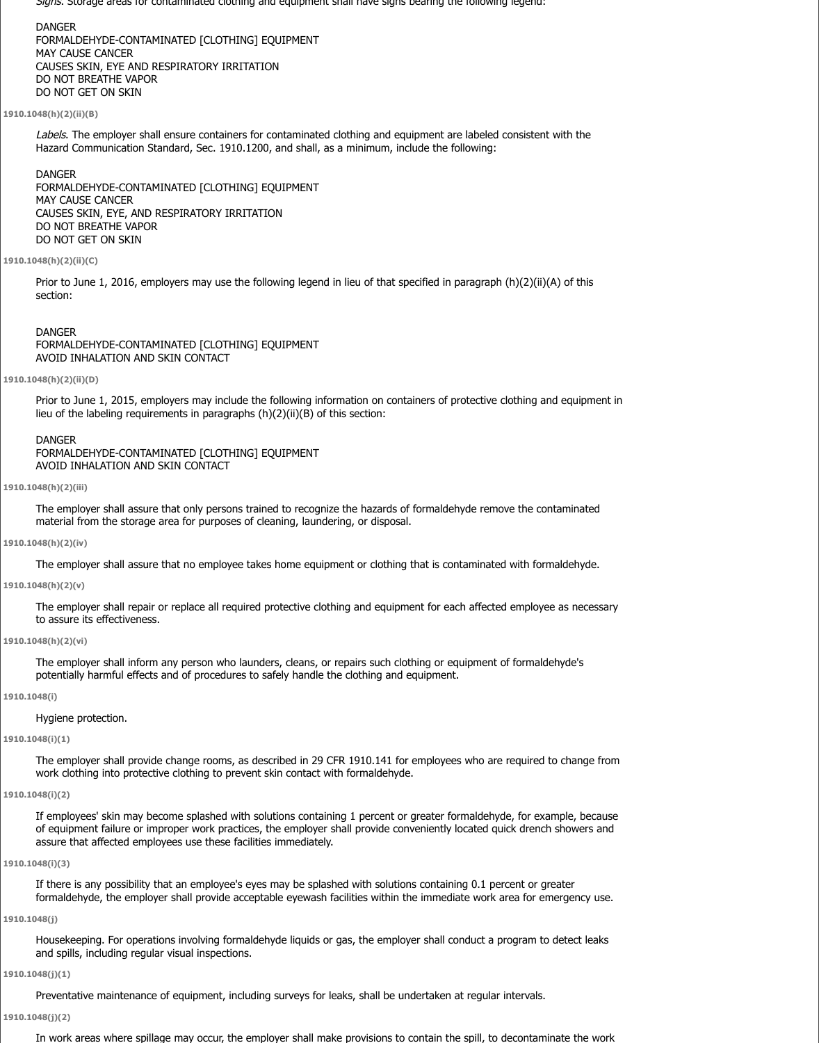Signs. Storage areas for contaminated clothing and equipment shall have signs bearing the following legend:

DANGER FORMALDEHYDE-CONTAMINATED [CLOTHING] EQUIPMENT MAY CAUSE CANCER CAUSES SKIN, EYE AND RESPIRATORY IRRITATION DO NOT BREATHE VAPOR DO NOT GET ON SKIN

Labels. The employer shall ensure containers for contaminated clothing and equipment are labeled consistent with the Hazard Communication Standard, Sec. 1910.1200, and shall, as a minimum, include the following:

### **1910.1048(h)(2)(ii)(B)**

### DANGER

FORMALDEHYDE-CONTAMINATED [CLOTHING] EQUIPMENT MAY CAUSE CANCER CAUSES SKIN, EYE, AND RESPIRATORY IRRITATION DO NOT BREATHE VAPOR DO NOT GET ON SKIN

### **1910.1048(h)(2)(ii)(C)**

Prior to June 1, 2016, employers may use the following legend in lieu of that specified in paragraph (h)(2)(ii)(A) of this section:

# DANGER FORMALDEHYDE-CONTAMINATED [CLOTHING] EQUIPMENT AVOID INHALATION AND SKIN CONTACT

### **1910.1048(h)(2)(ii)(D)**

Prior to June 1, 2015, employers may include the following information on containers of protective clothing and equipment in lieu of the labeling requirements in paragraphs (h)(2)(ii)(B) of this section:

# DANGER

FORMALDEHYDE-CONTAMINATED [CLOTHING] EQUIPMENT AVOID INHALATION AND SKIN CONTACT

### **1910.1048(h)(2)(iii)**

The employer shall assure that only persons trained to recognize the hazards of formaldehyde remove the contaminated material from the storage area for purposes of cleaning, laundering, or disposal.

### **1910.1048(h)(2)(iv)**

The employer shall assure that no employee takes home equipment or clothing that is contaminated with formaldehyde.

### **1910.1048(h)(2)(v)**

The employer shall repair or replace all required protective clothing and equipment for each affected employee as necessary to assure its effectiveness.

### **1910.1048(h)(2)(vi)**

The employer shall inform any person who launders, cleans, or repairs such clothing or equipment of formaldehyde's potentially harmful effects and of procedures to safely handle the clothing and equipment.

### **1910.1048(i)**

# Hygiene protection.

The employer shall provide change rooms, as described in 29 CFR 1910.141 for employees who are required to change from work clothing into protective clothing to prevent skin contact with formaldehyde.

#### **1910.1048(i)(2)**

If employees' skin may become splashed with solutions containing 1 percent or greater formaldehyde, for example, because of equipment failure or improper work practices, the employer shall provide conveniently located quick drench showers and assure that affected employees use these facilities immediately.

**1910.1048(i)(3)**

If there is any possibility that an employee's eyes may be splashed with solutions containing 0.1 percent or greater formaldehyde, the employer shall provide acceptable eyewash facilities within the immediate work area for emergency use.

### **1910.1048(j)**

Housekeeping. For operations involving formaldehyde liquids or gas, the employer shall conduct a program to detect leaks and spills, including regular visual inspections.

### **1910.1048(j)(1)**

Preventative maintenance of equipment, including surveys for leaks, shall be undertaken at regular intervals.

### **1910.1048(j)(2)**

In work areas where spillage may occur, the employer shall make provisions to contain the spill, to decontaminate the work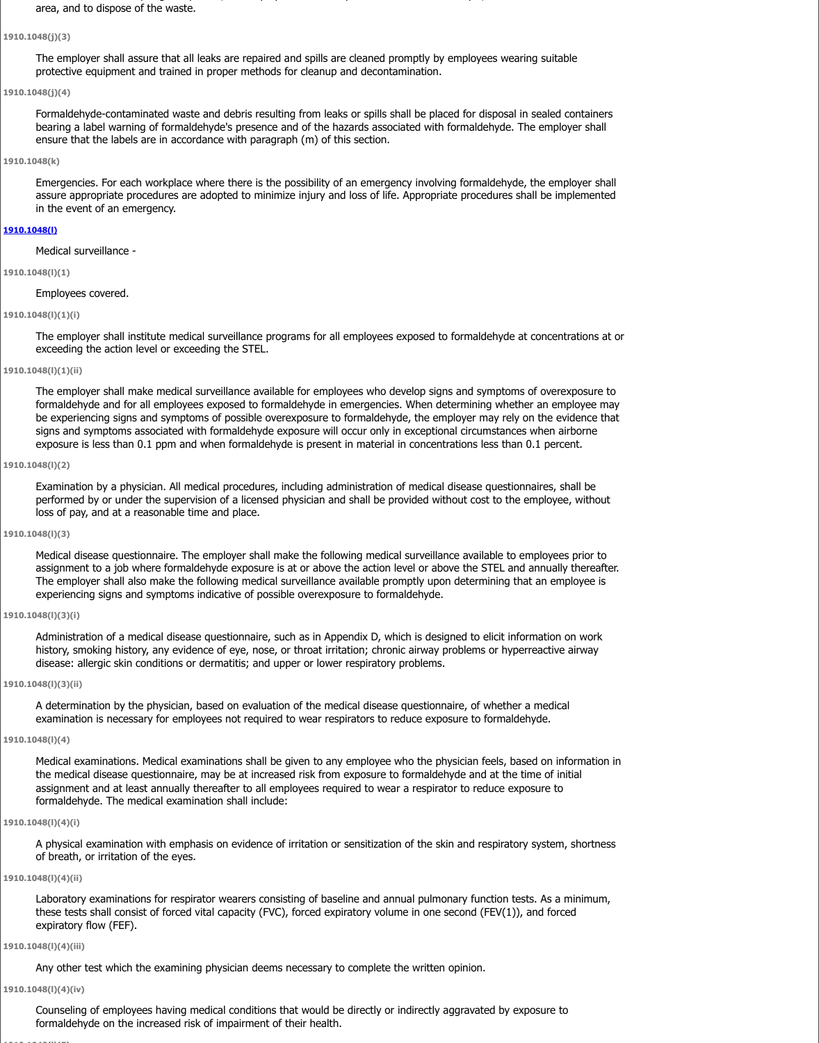The employer shall make medical surveillance available for employees who develop signs and symptoms of overexposure to formaldehyde and for all employees exposed to formaldehyde in emergencies. When determining v be experiencing signs and symptoms of possible overexposure to formaldehyde, the employer may signs and symptoms associated with formaldehyde exposure will occur only in exceptional circumst exposure is less than 0.1 ppm and when formaldehyde is present in material in concentrations less

#### **1910.1048(l)(2)**

Examination by a physician. All medical procedures, including administration of medical disease que performed by or under the supervision of a licensed physician and shall be provided without cost to loss of pay, and at a reasonable time and place.

### **1910.1048(l)(3)**

Medical disease questionnaire. The employer shall make the following medical surveillance available assignment to a job where formaldehyde exposure is at or above the action level or above the STE The employer shall also make the following medical surveillance available promptly upon determining experiencing signs and symptoms indicative of possible overexposure to formaldehyde.

### **[1910.1048\(l\)\(](https://www.osha.gov/pls/oshaweb/owalink.query_links?src_doc_type=STANDARDS&src_unique_file=1910_1048&src_anchor_name=1910.1048(l))3)(i)**

Administration of a medical disease questionnaire, such as in Appendix D, which is designed to elicit history, smoking history, any evidence of eye, nose, or throat irritation; chronic airway problems or disease: allergic skin conditions or dermatitis; and upper or lower respiratory problems.

### **1910.1048(l)(3)(ii)**

A determination by the physician, based on evaluation of the medical disease questionnaire, of whe examination is necessary for employees not required to wear respirators to reduce exposure to forre

### **1910.1048(l)(4)**

Medical examinations. Medical examinations shall be given to any employee who the physician feels the medical disease questionnaire, may be at increased risk from exposure to formaldehyde and at assignment and at least annually thereafter to all employees required to wear a respirator to reduce formaldehyde. The medical examination shall include:

#### **1910.1048(l)(4)(i)**

A physical examination with emphasis on evidence of irritation or sensitization of the skin and respi of breath, or irritation of the eyes.

### **1910.1048(l)(4)(ii)**

Laboratory examinations for respirator wearers consisting of baseline and annual pulmonary function these tests shall consist of forced vital capacity (FVC), forced expiratory volume in one second (FEV expiratory flow (FEF).

#### **1910.1048(l)(4)(iii)**

Any other test which the examining physician deems necessary to complete the written opinion.

#### **1910.1048(l)(4)(iv)**

Counseling of employees having medical conditions that would be directly or indirectly aggravated by formaldehyde on the increased risk of impairment of their health.

#### **1910.1048(l)(5)**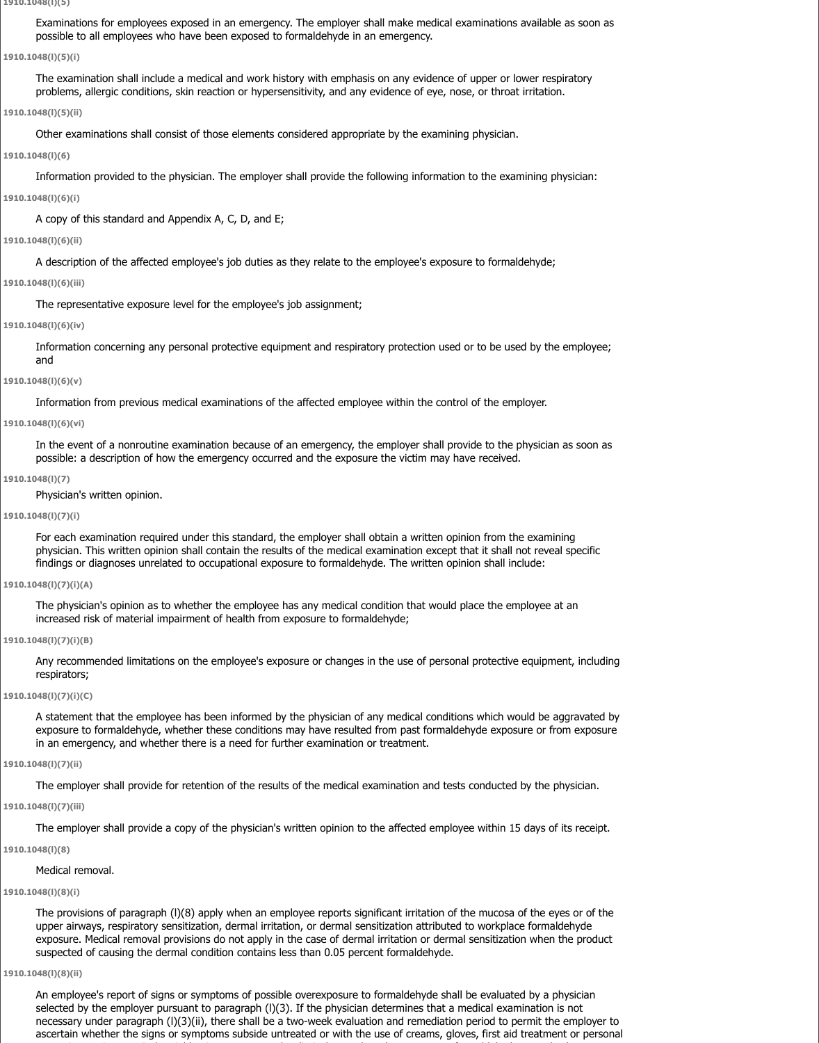#### **1910.1048(l)(5)**

Examinations for employees exposed in an emergency. The employer shall make medical examinations available as soon as possible to all employees who have been exposed to formaldehyde in an emergency.

### **1910.1048(l)(5)(i)**

The examination shall include a medical and work history with emphasis on any evidence of upper or lower respiratory problems, allergic conditions, skin reaction or hypersensitivity, and any evidence of eye, nose, or throat irritation.

### **1910.1048(l)(5)(ii)**

Other examinations shall consist of those elements considered appropriate by the examining physician.

### **1910.1048(l)(6)**

Information provided to the physician. The employer shall provide the following information to the examining physician:

### **1910.1048(l)(6)(i)**

A copy of this standard and Appendix A, C, D, and E;

# **1910.1048(l)(6)(ii)**

A description of the affected employee's job duties as they relate to the employee's exposure to formaldehyde;

### **1910.1048(l)(6)(iii)**

The representative exposure level for the employee's job assignment;

### **1910.1048(l)(6)(iv)**

Information concerning any personal protective equipment and respiratory protection used or to be used by the employee; and

# **1910.1048(l)(6)(v)**

Information from previous medical examinations of the affected employee within the control of the employer.

# **1910.1048(l)(6)(vi)**

In the event of a nonroutine examination because of an emergency, the employer shall provide to the physician as soon as possible: a description of how the emergency occurred and the exposure the victim may have received.

### **1910.1048(l)(7)**

Physician's written opinion.

# **1910.1048(l)(7)(i)**

For each examination required under this standard, the employer shall obtain a written opinion from the examining physician. This written opinion shall contain the results of the medical examination except that it shall not reveal specific findings or diagnoses unrelated to occupational exposure to formaldehyde. The written opinion shall include:

### **1910.1048(l)(7)(i)(A)**

The physician's opinion as to whether the employee has any medical condition that would place the employee at an increased risk of material impairment of health from exposure to formaldehyde;

# **1910.1048(l)(7)(i)(B)**

Any recommended limitations on the employee's exposure or changes in the use of personal protective equipment, including respirators;

### **1910.1048(l)(7)(i)(C)**

A statement that the employee has been informed by the physician of any medical conditions which would be aggravated by exposure to formaldehyde, whether these conditions may have resulted from past formaldehyde exposure or from exposure in an emergency, and whether there is a need for further examination or treatment.

**1910.1048(l)(7)(ii)**

The employer shall provide for retention of the results of the medical examination and tests conducted by the physician. **1910.1048(l)(7)(iii)**

The employer shall provide a copy of the physician's written opinion to the affected employee within 15 days of its receipt.

**1910.1048(l)(8)**

Medical removal.

**1910.1048(l)(8)(i)**

The provisions of paragraph (l)(8) apply when an employee reports significant irritation of the mucosa of the eyes or of the upper airways, respiratory sensitization, dermal irritation, or dermal sensitization attributed to workplace formaldehyde exposure. Medical removal provisions do not apply in the case of dermal irritation or dermal sensitization when the product suspected of causing the dermal condition contains less than 0.05 percent formaldehyde.

**1910.1048(l)(8)(ii)**

An employee's report of signs or symptoms of possible overexposure to formaldehyde shall be evaluated by a physician selected by the employer pursuant to paragraph (l)(3). If the physician determines that a medical examination is not necessary under paragraph (l)(3)(ii), there shall be a two-week evaluation and remediation period to permit the employer to ascertain whether the signs or symptoms subside untreated or with the use of creams, gloves, first aid treatment or personal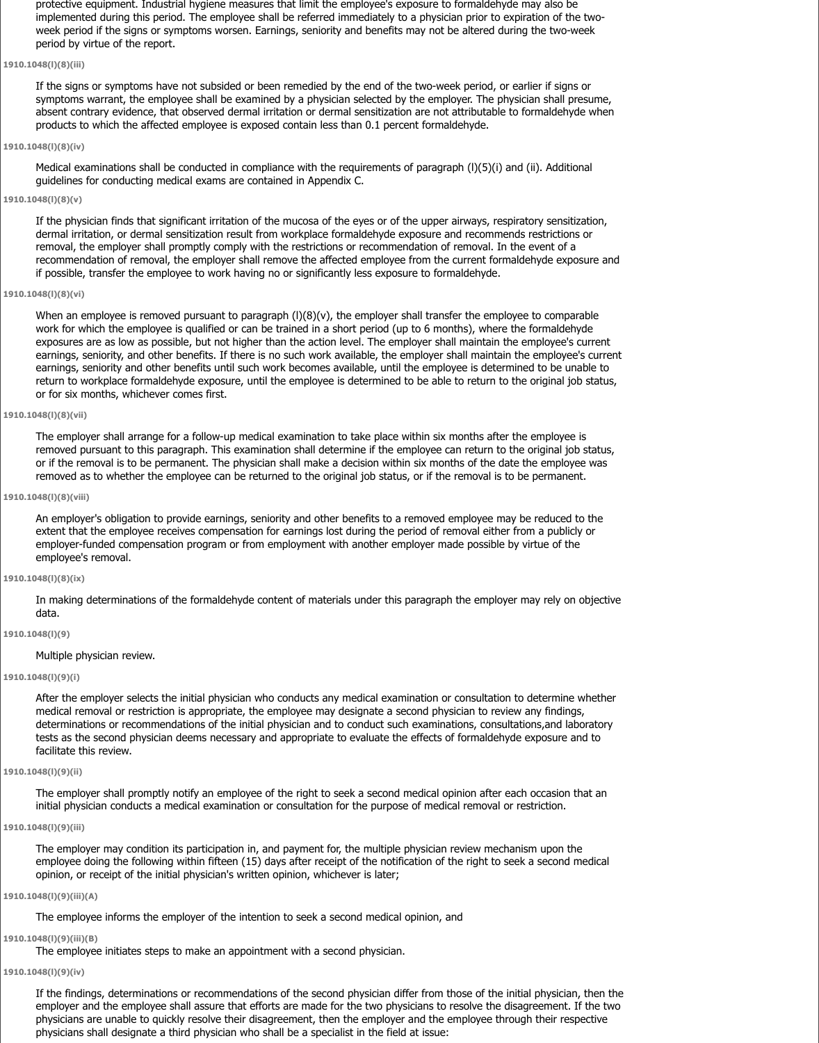protective equipment. Industrial hygiene measures that limit the employee's exposure to formaldehyde may also be implemented during this period. The employee shall be referred immediately to a physician prior to expiration of the twoweek period if the signs or symptoms worsen. Earnings, seniority and benefits may not be altered during the two-week period by virtue of the report.

#### **1910.1048(l)(8)(iii)**

If the signs or symptoms have not subsided or been remedied by the end of the two-week period, or earlier if signs or symptoms warrant, the employee shall be examined by a physician selected by the employer. The physician shall presume, absent contrary evidence, that observed dermal irritation or dermal sensitization are not attributable to formaldehyde when products to which the affected employee is exposed contain less than 0.1 percent formaldehyde.

#### **1910.1048(l)(8)(iv)**

Medical examinations shall be conducted in compliance with the requirements of paragraph (l)(5)(i) and (ii). Additional guidelines for conducting medical exams are contained in Appendix C.

#### **1910.1048(l)(8)(v)**

When an employee is removed pursuant to paragraph (I)(8)(v), the employer shall transfer the employee to comparable work for which the employee is qualified or can be trained in a short period (up to 6 months), where the formaldehyde exposures are as low as possible, but not higher than the action level. The employer shall maintain the employee's current earnings, seniority, and other benefits. If there is no such work available, the employer shall maintain the employee's current earnings, seniority and other benefits until such work becomes available, until the employee is determined to be unable to return to workplace formaldehyde exposure, until the employee is determined to be able to return to the original job status, or for six months, whichever comes first.

If the physician finds that significant irritation of the mucosa of the eyes or of the upper airways, respiratory sensitization, dermal irritation, or dermal sensitization result from workplace formaldehyde exposure and recommends restrictions or removal, the employer shall promptly comply with the restrictions or recommendation of removal. In the event of a recommendation of removal, the employer shall remove the affected employee from the current formaldehyde exposure and if possible, transfer the employee to work having no or significantly less exposure to formaldehyde.

#### **1910.1048(l)(8)(vi)**

#### **1910.1048(l)(8)(vii)**

The employer shall arrange for a follow-up medical examination to take place within six months after the employee is removed pursuant to this paragraph. This examination shall determine if the employee can return to the original job status, or if the removal is to be permanent. The physician shall make a decision within six months of the date the employee was removed as to whether the employee can be returned to the original job status, or if the removal is to be permanent.

#### **1910.1048(l)(8)(viii)**

An employer's obligation to provide earnings, seniority and other benefits to a removed employee may be reduced to the extent that the employee receives compensation for earnings lost during the period of removal either from a publicly or employer-funded compensation program or from employment with another employer made possible by virtue of the employee's removal.

#### **1910.1048(l)(8)(ix)**

In making determinations of the formaldehyde content of materials under this paragraph the employer may rely on objective data.

### **1910.1048(l)(9)**

### Multiple physician review.

#### **1910.1048(l)(9)(i)**

After the employer selects the initial physician who conducts any medical examination or consultation to determine whether medical removal or restriction is appropriate, the employee may designate a second physician to review any findings, determinations or recommendations of the initial physician and to conduct such examinations, consultations,and laboratory tests as the second physician deems necessary and appropriate to evaluate the effects of formaldehyde exposure and to facilitate this review.

**1910.1048(l)(9)(ii)**

The employer shall promptly notify an employee of the right to seek a second medical opinion after each occasion that an initial physician conducts a medical examination or consultation for the purpose of medical removal or restriction.

**1910.1048(l)(9)(iii)**

The employer may condition its participation in, and payment for, the multiple physician review mechanism upon the employee doing the following within fifteen (15) days after receipt of the notification of the right to seek a second medical opinion, or receipt of the initial physician's written opinion, whichever is later;

**1910.1048(l)(9)(iii)(A)**

The employee informs the employer of the intention to seek a second medical opinion, and

**1910.1048(l)(9)(iii)(B)**

The employee initiates steps to make an appointment with a second physician.

**1910.1048(l)(9)(iv)**

If the findings, determinations or recommendations of the second physician differ from those of the initial physician, then the employer and the employee shall assure that efforts are made for the two physicians to resolve the disagreement. If the two physicians are unable to quickly resolve their disagreement, then the employer and the employee through their respective physicians shall designate a third physician who shall be a specialist in the field at issue: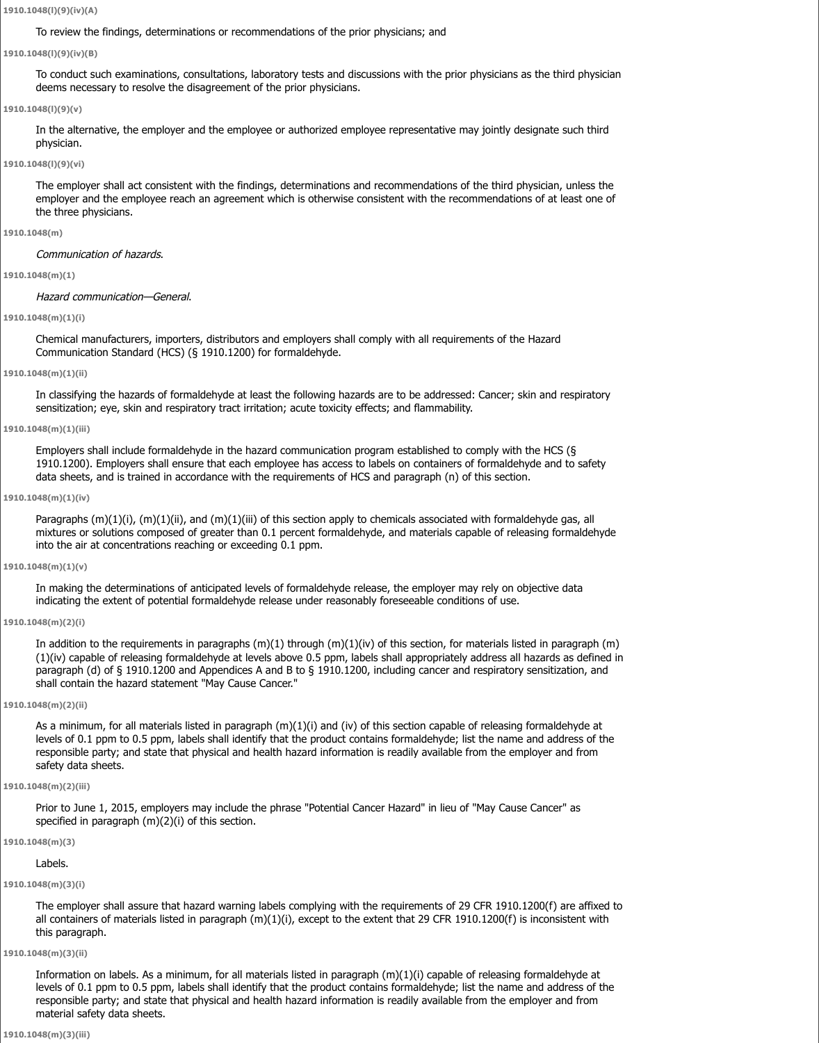#### **1910.1048(l)(9)(iv)(A)**

To review the findings, determinations or recommendations of the prior physicians; and

## **1910.1048(l)(9)(iv)(B)**

To conduct such examinations, consultations, laboratory tests and discussions with the prior physicians as the third physician deems necessary to resolve the disagreement of the prior physicians.

### **1910.1048(l)(9)(v)**

In the alternative, the employer and the employee or authorized employee representative may jointly designate such third physician.

# **1910.1048(l)(9)(vi)**

The employer shall act consistent with the findings, determinations and recommendations of the third physician, unless the employer and the employee reach an agreement which is otherwise consistent with the recommendations of at least one of the three physicians.

# **1910.1048(m)**

Communication of hazards.

# **1910.1048(m)(1)**

Hazard communication—General.

# **1910.1048(m)(1)(i)**

Chemical manufacturers, importers, distributors and employers shall comply with all requirements of the Hazard Communication Standard (HCS) (§ 1910.1200) for formaldehyde.

Paragraphs (m)(1)(i), (m)(1)(ii), and (m)(1)(iii) of this section apply to chemicals associated with formaldehyde gas, all mixtures or solutions composed of greater than 0.1 percent formaldehyde, and materials capable of releasing formaldehyde into the air at concentrations reaching or exceeding 0.1 ppm.

# **1910.1048(m)(1)(ii)**

In classifying the hazards of formaldehyde at least the following hazards are to be addressed: Cancer; skin and respiratory sensitization; eye, skin and respiratory tract irritation; acute toxicity effects; and flammability.

# **1910.1048(m)(1)(iii)**

In addition to the requirements in paragraphs  $(m)(1)$  through  $(m)(1)(iv)$  of this section, for materials listed in paragraph  $(m)$ (1)(iv) capable of releasing formaldehyde at levels above 0.5 ppm, labels shall appropriately address all hazards as defined in paragraph (d) of § 1910.1200 and Appendices A and B to § 1910.1200, including cancer and respiratory sensitization, and shall contain the hazard statement "May Cause Cancer."

Employers shall include formaldehyde in the hazard communication program established to comply with the HCS (§ 1910.1200). Employers shall ensure that each employee has access to labels on containers of formaldehyde and to safety data sheets, and is trained in accordance with the requirements of HCS and paragraph (n) of this section.

# **1910.1048(m)(1)(iv)**

# **1910.1048(m)(1)(v)**

In making the determinations of anticipated levels of formaldehyde release, the employer may rely on objective data indicating the extent of potential formaldehyde release under reasonably foreseeable conditions of use.

# **1910.1048(m)(2)(i)**

# **1910.1048(m)(2)(ii)**

As a minimum, for all materials listed in paragraph (m)(1)(i) and (iv) of this section capable of releasing formaldehyde at levels of 0.1 ppm to 0.5 ppm, labels shall identify that the product contains formaldehyde; list the name and address of the responsible party; and state that physical and health hazard information is readily available from the employer and from safety data sheets.

#### **1910.1048(m)(2)(iii)**

Prior to June 1, 2015, employers may include the phrase "Potential Cancer Hazard" in lieu of "May Cause Cancer" as specified in paragraph (m)(2)(i) of this section.

**1910.1048(m)(3)**

Labels.

**1910.1048(m)(3)(i)**

The employer shall assure that hazard warning labels complying with the requirements of 29 CFR 1910.1200(f) are affixed to all containers of materials listed in paragraph (m)(1)(i), except to the extent that 29 CFR 1910.1200(f) is inconsistent with this paragraph.

**1910.1048(m)(3)(ii)**

Information on labels. As a minimum, for all materials listed in paragraph (m)(1)(i) capable of releasing formaldehyde at levels of 0.1 ppm to 0.5 ppm, labels shall identify that the product contains formaldehyde; list the name and address of the responsible party; and state that physical and health hazard information is readily available from the employer and from material safety data sheets.

#### **1910.1048(m)(3)(iii)**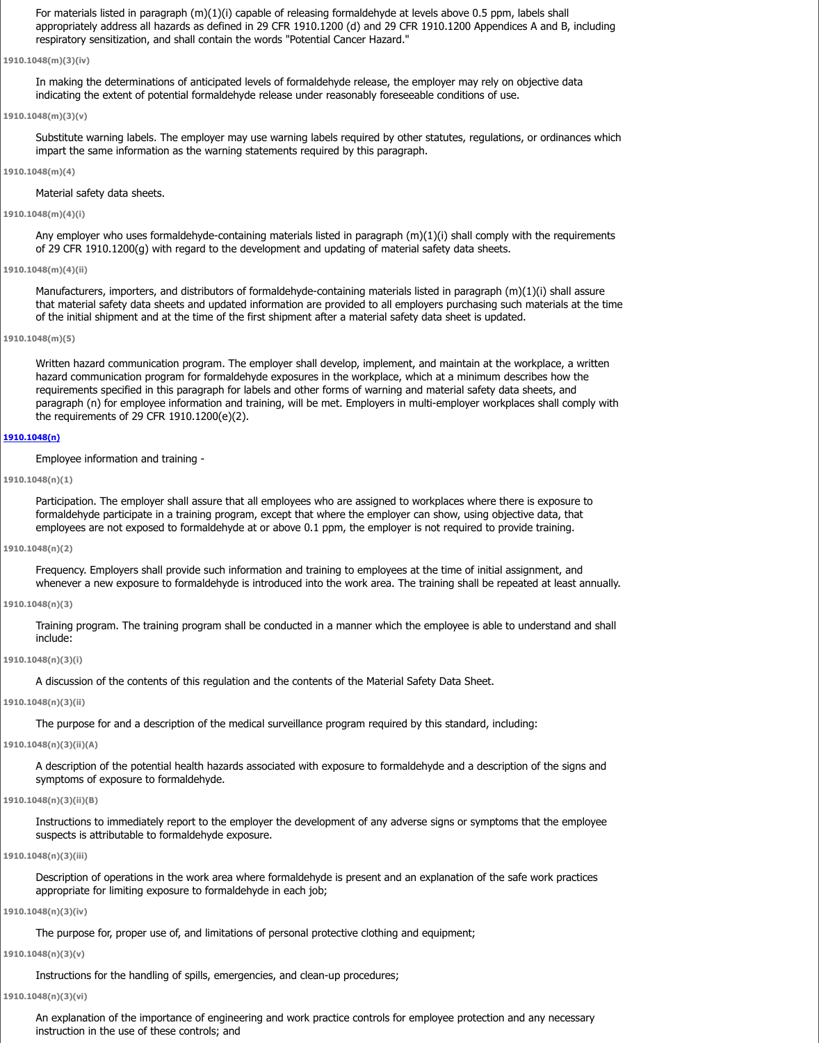paragraph (n) for employee information and training, will be met. Employers in multi-employer wor the requirements of 29 CFR 1910.1200(e)(2).

#### **1910.1048(n)**

Employee information and training -

**1910.1048(n)(1)**

Participation. The employer shall assure that all employees who are assigned to workplaces where formaldehyde participate in a training program, except that where the employer can show, using ol employees are not exposed to formaldehyde at or above 0.1 ppm, the employer is not required to

**1910.1048(n)(2)**

Frequency. Employers shall provide such information and training to employees at the time of initia whenever a new exposure to formaldehyde is introduced into the work area. The training shall be repeated at least annual

#### **1910.1048(n)(3)**

Training program. The training program shall be conducted in a manner which the employee is able include:

**1910.1048(n)(3)(i)**

A discussion of the contents of this regulation and the contents of the Material Safety Data Sheet.

**1910.1048(n)(3)(ii)**

The purpose for and a description of the medical surveillance program required by this standard, in

**1910.1048(n)(3)(ii)(A)**

A description of the potential health hazards associated with exposure to formaldehyde and a description symptoms of exposure to formaldehyde.

**1910.1048(n)(3)(ii)(B)**

Instructions to immediately report to the employer the development of any adverse signs or symptoms that the employer the development of any adverse signs or symptoms. [suspe](https://www.osha.gov/pls/oshaweb/owalink.query_links?src_doc_type=STANDARDS&src_unique_file=1910_1048&src_anchor_name=1910.1048(n))cts is attributable to formaldehyde exposure.

**1910.1048(n)(3)(iii)**

Description of operations in the work area where formaldehyde is present and an explanation of the appropriate for limiting exposure to formaldehyde in each job;

**1910.1048(n)(3)(iv)**

The purpose for, proper use of, and limitations of personal protective clothing and equipment;

**1910.1048(n)(3)(v)**

Instructions for the handling of spills, emergencies, and clean-up procedures;

**1910.1048(n)(3)(vi)**

An explanation of the importance of engineering and work practice controls for employee protection instruction in the use of these controls; and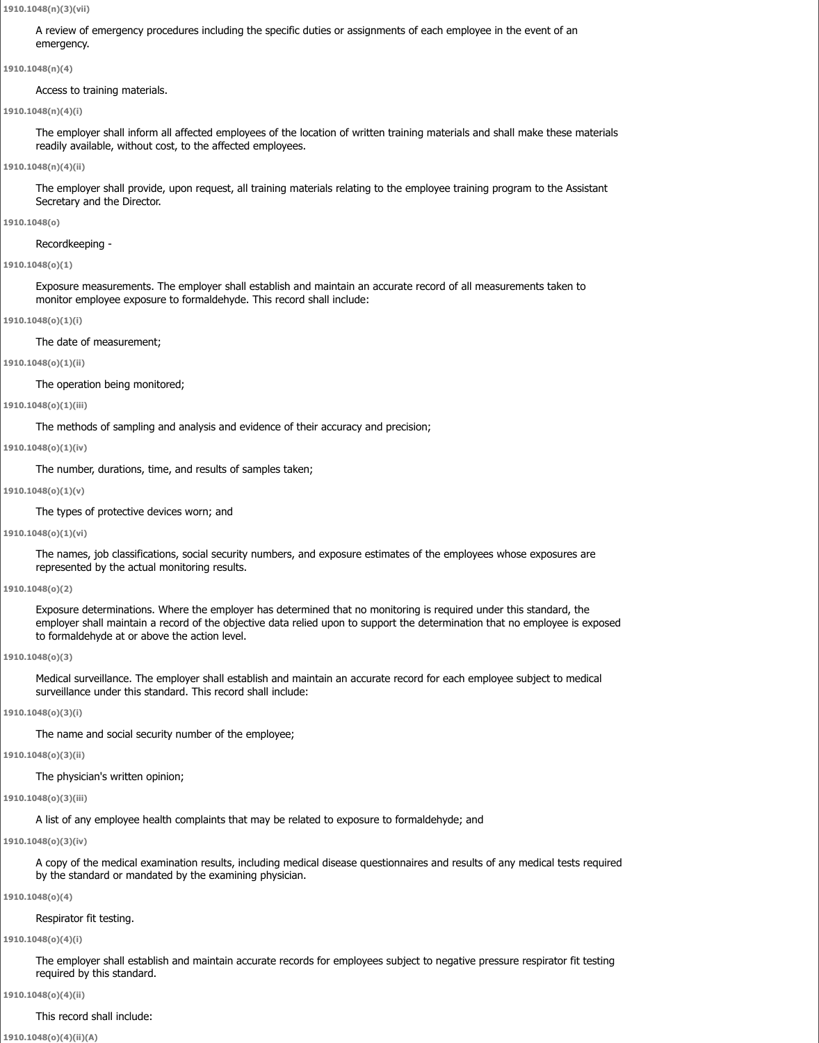#### **1910.1048(n)(3)(vii)**

A review of emergency procedures including the specific duties or assignments of each employee in the event of an emergency.

### **1910.1048(n)(4)**

Access to training materials.

### **1910.1048(n)(4)(i)**

The employer shall inform all affected employees of the location of written training materials and shall make these materials readily available, without cost, to the affected employees.

### **1910.1048(n)(4)(ii)**

The employer shall provide, upon request, all training materials relating to the employee training program to the Assistant Secretary and the Director.

### **1910.1048(o)**

# Recordkeeping -

# **1910.1048(o)(1)**

Exposure measurements. The employer shall establish and maintain an accurate record of all measurements taken to monitor employee exposure to formaldehyde. This record shall include:

# **1910.1048(o)(1)(i)**

# The date of measurement;

# **1910.1048(o)(1)(ii)**

The operation being monitored;

# **1910.1048(o)(1)(iii)**

The methods of sampling and analysis and evidence of their accuracy and precision;

# **1910.1048(o)(1)(iv)**

The number, durations, time, and results of samples taken;

# **1910.1048(o)(1)(v)**

The types of protective devices worn; and

# **1910.1048(o)(1)(vi)**

The names, job classifications, social security numbers, and exposure estimates of the employees whose exposures are represented by the actual monitoring results.

# **1910.1048(o)(2)**

Exposure determinations. Where the employer has determined that no monitoring is required under this standard, the employer shall maintain a record of the objective data relied upon to support the determination that no employee is exposed to formaldehyde at or above the action level.

# **1910.1048(o)(3)**

Medical surveillance. The employer shall establish and maintain an accurate record for each employee subject to medical surveillance under this standard. This record shall include:

# **1910.1048(o)(3)(i)**

The name and social security number of the employee;

**1910.1048(o)(3)(ii)**

The physician's written opinion;

**1910.1048(o)(3)(iii)**

A list of any employee health complaints that may be related to exposure to formaldehyde; and

**1910.1048(o)(3)(iv)**

A copy of the medical examination results, including medical disease questionnaires and results of any medical tests required by the standard or mandated by the examining physician.

**1910.1048(o)(4)**

Respirator fit testing.

**1910.1048(o)(4)(i)**

The employer shall establish and maintain accurate records for employees subject to negative pressure respirator fit testing required by this standard.

**1910.1048(o)(4)(ii)**

This record shall include:

**1910.1048(o)(4)(ii)(A)**